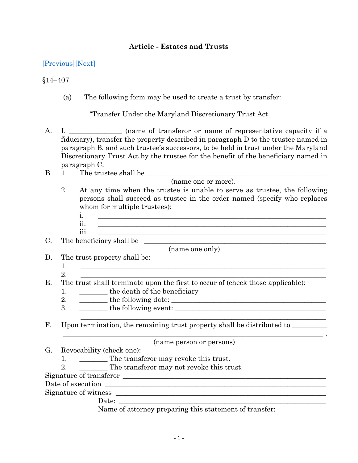## **Article - Estates and Trusts**

[\[Previous\]](http://mgaleg.maryland.gov/2021RS/Statute_Web/get/14-406.pdf)[\[Next\]](http://mgaleg.maryland.gov/2021RS/Statute_Web/get/14-408.pdf)

§14–407.

(a) The following form may be used to create a trust by transfer:

"Transfer Under the Maryland Discretionary Trust Act

- A. I, \_\_\_\_\_\_\_\_\_\_\_\_\_ (name of transferor or name of representative capacity if a fiduciary), transfer the property described in paragraph D to the trustee named in paragraph B, and such trustee's successors, to be held in trust under the Maryland Discretionary Trust Act by the trustee for the benefit of the beneficiary named in paragraph C.
- B. 1. The trustee shall be

(name one or more).

- 2. At any time when the trustee is unable to serve as trustee, the following persons shall succeed as trustee in the order named (specify who replaces whom for multiple trustees):
	- i. \_\_\_\_\_\_\_\_\_\_\_\_\_\_\_\_\_\_\_\_\_\_\_\_\_\_\_\_\_\_\_\_\_\_\_\_\_\_\_\_\_\_\_\_\_\_\_\_\_\_\_\_\_\_\_\_\_\_\_\_\_\_\_\_\_ ii. \_\_\_\_\_\_\_\_\_\_\_\_\_\_\_\_\_\_\_\_\_\_\_\_\_\_\_\_\_\_\_\_\_\_\_\_\_\_\_\_\_\_\_\_\_\_\_\_\_\_\_\_\_\_\_\_\_\_\_\_\_\_\_\_\_ iii. \_\_\_\_\_\_\_\_\_\_\_\_\_\_\_\_\_\_\_\_\_\_\_\_\_\_\_\_\_\_\_\_\_\_\_\_\_\_\_\_\_\_\_\_\_\_\_\_\_\_\_\_\_\_\_\_\_\_\_\_\_\_\_\_\_

 $\mathcal{L}_\mathcal{L} = \{ \mathcal{L}_\mathcal{L} = \{ \mathcal{L}_\mathcal{L} = \{ \mathcal{L}_\mathcal{L} = \{ \mathcal{L}_\mathcal{L} = \{ \mathcal{L}_\mathcal{L} = \{ \mathcal{L}_\mathcal{L} = \{ \mathcal{L}_\mathcal{L} = \{ \mathcal{L}_\mathcal{L} = \{ \mathcal{L}_\mathcal{L} = \{ \mathcal{L}_\mathcal{L} = \{ \mathcal{L}_\mathcal{L} = \{ \mathcal{L}_\mathcal{L} = \{ \mathcal{L}_\mathcal{L} = \{ \mathcal{L}_\mathcal{$ 

\_\_\_\_\_\_\_\_\_\_\_\_\_\_\_\_\_\_\_\_\_\_\_\_\_\_\_\_\_\_\_\_\_\_\_\_\_\_\_\_\_\_\_\_\_\_\_\_\_\_\_\_\_\_\_\_\_\_\_\_\_\_\_\_\_\_\_\_\_\_\_\_\_\_ .

C. The beneficiary shall be

(name one only)

- D. The trust property shall be:
	- 1. \_\_\_\_\_\_\_\_\_\_\_\_\_\_\_\_\_\_\_\_\_\_\_\_\_\_\_\_\_\_\_\_\_\_\_\_\_\_\_\_\_\_\_\_\_\_\_\_\_\_\_\_\_\_\_\_\_\_\_\_\_\_\_\_\_\_\_\_\_\_
	-

 $2.$ E. The trust shall terminate upon the first to occur of (check those applicable):

- 1. \_\_\_\_\_\_\_\_\_ the death of the beneficiary
- 2.  $\frac{1}{\sqrt{2\pi}}$  the following date:
- $3.$  the following event:
- F. Upon termination, the remaining trust property shall be distributed to

(name person or persons) G. Revocability (check one):

- 1. \_\_\_\_\_\_\_ The transferor may revoke this trust.
- 2. The transferor may not revoke this trust.

Signature of transferor \_\_\_\_\_\_\_\_\_\_\_\_\_\_\_\_\_\_\_\_\_\_\_\_\_\_\_\_\_\_\_\_\_\_\_\_\_\_\_\_\_\_\_\_\_\_\_\_\_\_\_\_\_\_\_\_\_\_

Date of execution \_\_\_\_\_\_\_\_\_\_\_\_\_\_\_\_\_\_\_\_\_\_\_\_\_\_\_\_\_\_\_\_\_\_\_\_\_\_\_\_\_\_\_\_\_\_\_\_\_\_\_\_\_\_\_\_\_\_\_\_\_\_\_

Signature of witness \_\_\_\_\_\_\_\_\_\_\_\_\_\_\_\_\_\_\_\_\_\_\_\_\_\_\_\_\_\_\_\_\_\_\_\_\_\_\_\_\_\_\_\_\_\_\_\_\_\_\_\_\_\_\_\_\_\_\_\_

Date: \_\_\_\_\_\_\_\_\_\_\_\_\_\_\_\_\_\_\_\_\_\_\_\_\_\_\_\_\_\_\_\_\_\_\_\_\_\_\_\_\_\_\_\_\_\_\_\_\_\_\_\_\_\_\_\_\_\_\_

Name of attorney preparing this statement of transfer: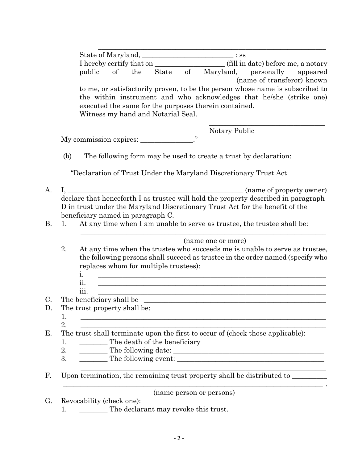| State of Maryland, |                            |  |                                    |  | $\therefore$ SS                                                                                                                                      |  |  |
|--------------------|----------------------------|--|------------------------------------|--|------------------------------------------------------------------------------------------------------------------------------------------------------|--|--|
|                    |                            |  |                                    |  | I hereby certify that on (fill in date) before me, a notary                                                                                          |  |  |
|                    |                            |  |                                    |  | public of the State of Maryland, personally appeared                                                                                                 |  |  |
|                    | (name of transferor) known |  |                                    |  |                                                                                                                                                      |  |  |
|                    |                            |  |                                    |  | to me, or satisfactorily proven, to be the person whose name is subscribed to<br>the within instrument and who acknowledges that he/she (strike one) |  |  |
|                    |                            |  |                                    |  | executed the same for the purposes therein contained.                                                                                                |  |  |
|                    |                            |  | Witness my hand and Notarial Seal. |  |                                                                                                                                                      |  |  |

Notary Public

My commission expires:

(b) The following form may be used to create a trust by declaration:

"Declaration of Trust Under the Maryland Discretionary Trust Act

- A. I. (name of property owner) declare that henceforth I as trustee will hold the property described in paragraph D in trust under the Maryland Discretionary Trust Act for the benefit of the beneficiary named in paragraph C.
- B. 1. At any time when I am unable to serve as trustee, the trustee shall be:

(name one or more)

 $\_$  , and the set of the set of the set of the set of the set of the set of the set of the set of the set of the set of the set of the set of the set of the set of the set of the set of the set of the set of the set of th

- 2. At any time when the trustee who succeeds me is unable to serve as trustee, the following persons shall succeed as trustee in the order named (specify who replaces whom for multiple trustees):
	- i. \_\_\_\_\_\_\_\_\_\_\_\_\_\_\_\_\_\_\_\_\_\_\_\_\_\_\_\_\_\_\_\_\_\_\_\_\_\_\_\_\_\_\_\_\_\_\_\_\_\_\_\_\_\_\_\_\_\_\_\_\_\_\_\_\_
	- $\rm ii. \quad \_$ iii.  $\Box$
- C. The beneficiary shall be
- D. The trust property shall be:
	- 1.
	- $2.$

E. The trust shall terminate upon the first to occur of (check those applicable):

- 1. \_\_\_\_\_\_\_\_ The death of the beneficiary
- 2. \_\_\_\_\_\_\_\_ The following date: \_\_\_\_\_\_\_\_\_\_\_\_\_\_\_\_\_\_\_\_\_\_\_\_\_\_\_\_\_\_\_\_\_\_\_\_\_\_\_\_\_\_\_
- 3. The following event:
- F. Upon termination, the remaining trust property shall be distributed to \_\_\_\_\_\_\_

 $\mathcal{L}_\mathcal{L} = \{ \mathcal{L}_\mathcal{L} = \{ \mathcal{L}_\mathcal{L} = \{ \mathcal{L}_\mathcal{L} = \{ \mathcal{L}_\mathcal{L} = \{ \mathcal{L}_\mathcal{L} = \{ \mathcal{L}_\mathcal{L} = \{ \mathcal{L}_\mathcal{L} = \{ \mathcal{L}_\mathcal{L} = \{ \mathcal{L}_\mathcal{L} = \{ \mathcal{L}_\mathcal{L} = \{ \mathcal{L}_\mathcal{L} = \{ \mathcal{L}_\mathcal{L} = \{ \mathcal{L}_\mathcal{L} = \{ \mathcal{L}_\mathcal{$ (name person or persons)

 $\_$  , and the set of the set of the set of the set of the set of the set of the set of the set of the set of the set of the set of the set of the set of the set of the set of the set of the set of the set of the set of th

G. Revocability (check one): 1. \_\_\_\_\_\_\_\_ The declarant may revoke this trust.